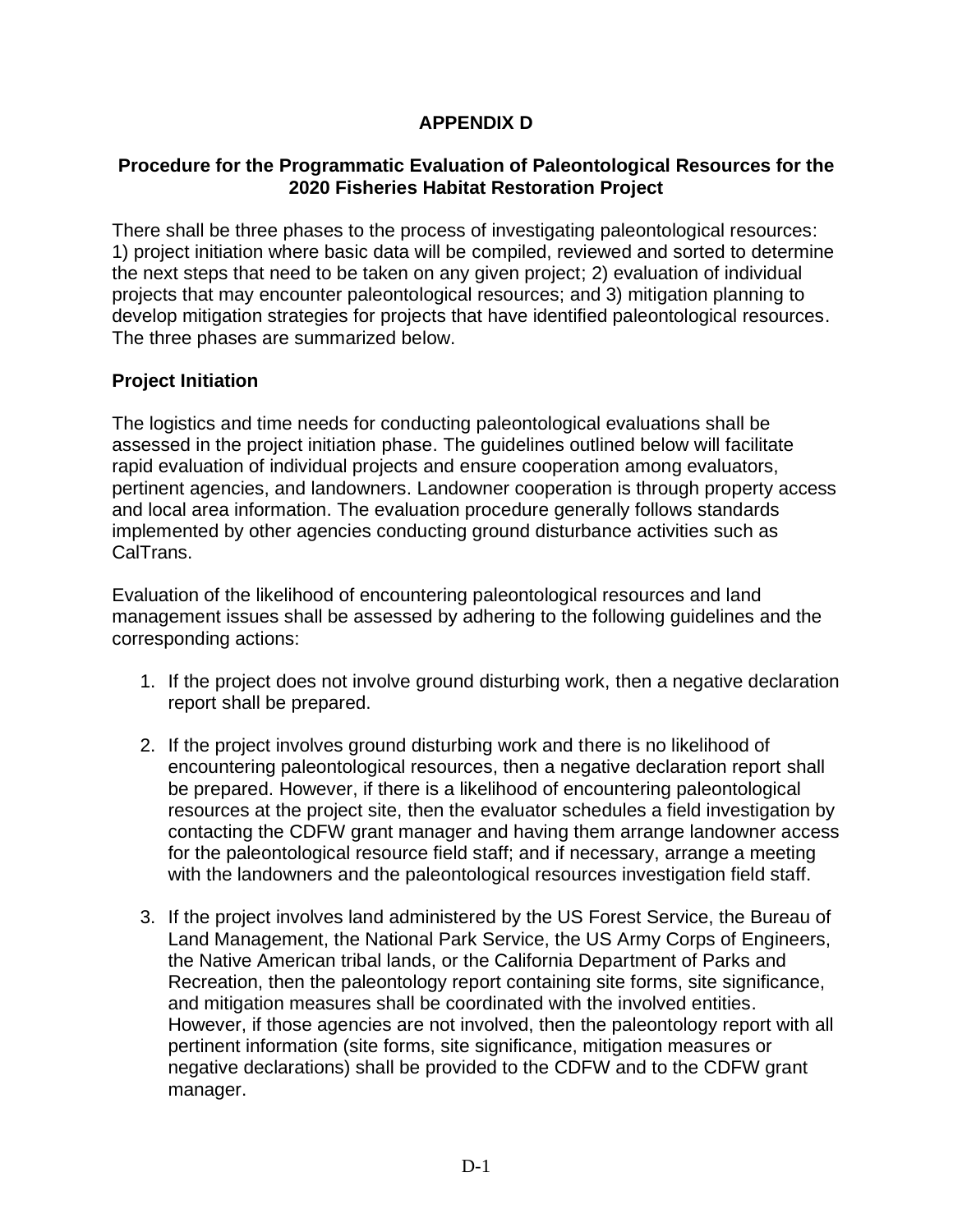# **APPENDIX D**

#### **Procedure for the Programmatic Evaluation of Paleontological Resources for the 2020 Fisheries Habitat Restoration Project**

There shall be three phases to the process of investigating paleontological resources: 1) project initiation where basic data will be compiled, reviewed and sorted to determine the next steps that need to be taken on any given project; 2) evaluation of individual projects that may encounter paleontological resources; and 3) mitigation planning to develop mitigation strategies for projects that have identified paleontological resources. The three phases are summarized below.

#### **Project Initiation**

The logistics and time needs for conducting paleontological evaluations shall be assessed in the project initiation phase. The guidelines outlined below will facilitate rapid evaluation of individual projects and ensure cooperation among evaluators, pertinent agencies, and landowners. Landowner cooperation is through property access and local area information. The evaluation procedure generally follows standards implemented by other agencies conducting ground disturbance activities such as CalTrans.

Evaluation of the likelihood of encountering paleontological resources and land management issues shall be assessed by adhering to the following guidelines and the corresponding actions:

- 1. If the project does not involve ground disturbing work, then a negative declaration report shall be prepared.
- 2. If the project involves ground disturbing work and there is no likelihood of encountering paleontological resources, then a negative declaration report shall be prepared. However, if there is a likelihood of encountering paleontological resources at the project site, then the evaluator schedules a field investigation by contacting the CDFW grant manager and having them arrange landowner access for the paleontological resource field staff; and if necessary, arrange a meeting with the landowners and the paleontological resources investigation field staff.
- 3. If the project involves land administered by the US Forest Service, the Bureau of Land Management, the National Park Service, the US Army Corps of Engineers, the Native American tribal lands, or the California Department of Parks and Recreation, then the paleontology report containing site forms, site significance, and mitigation measures shall be coordinated with the involved entities. However, if those agencies are not involved, then the paleontology report with all pertinent information (site forms, site significance, mitigation measures or negative declarations) shall be provided to the CDFW and to the CDFW grant manager.